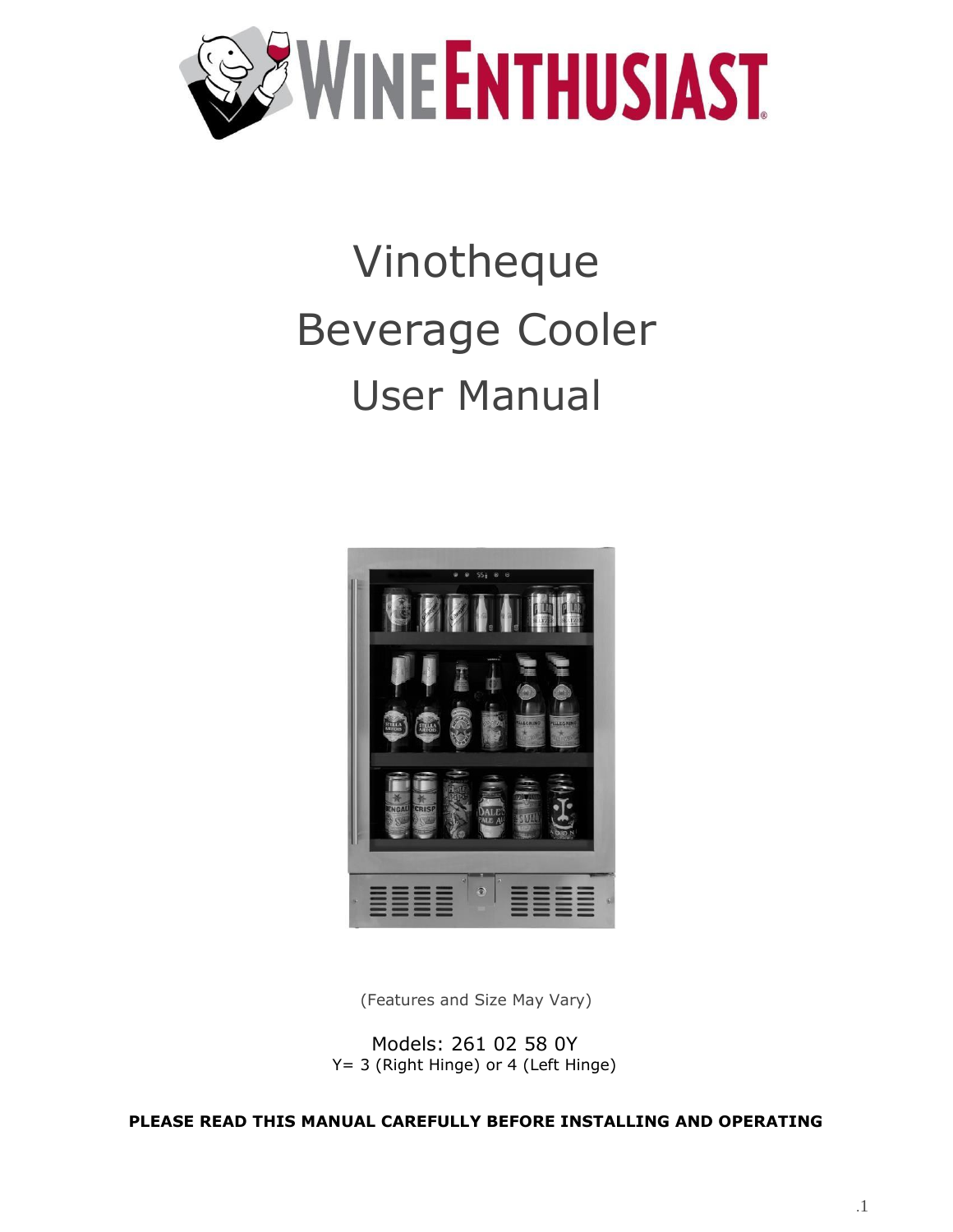

# Vinotheque Beverage Cooler User Manual



(Features and Size May Vary)

Models: 261 02 58 0Y Y= 3 (Right Hinge) or 4 (Left Hinge)

**PLEASE READ THIS MANUAL CAREFULLY BEFORE INSTALLING AND OPERATING**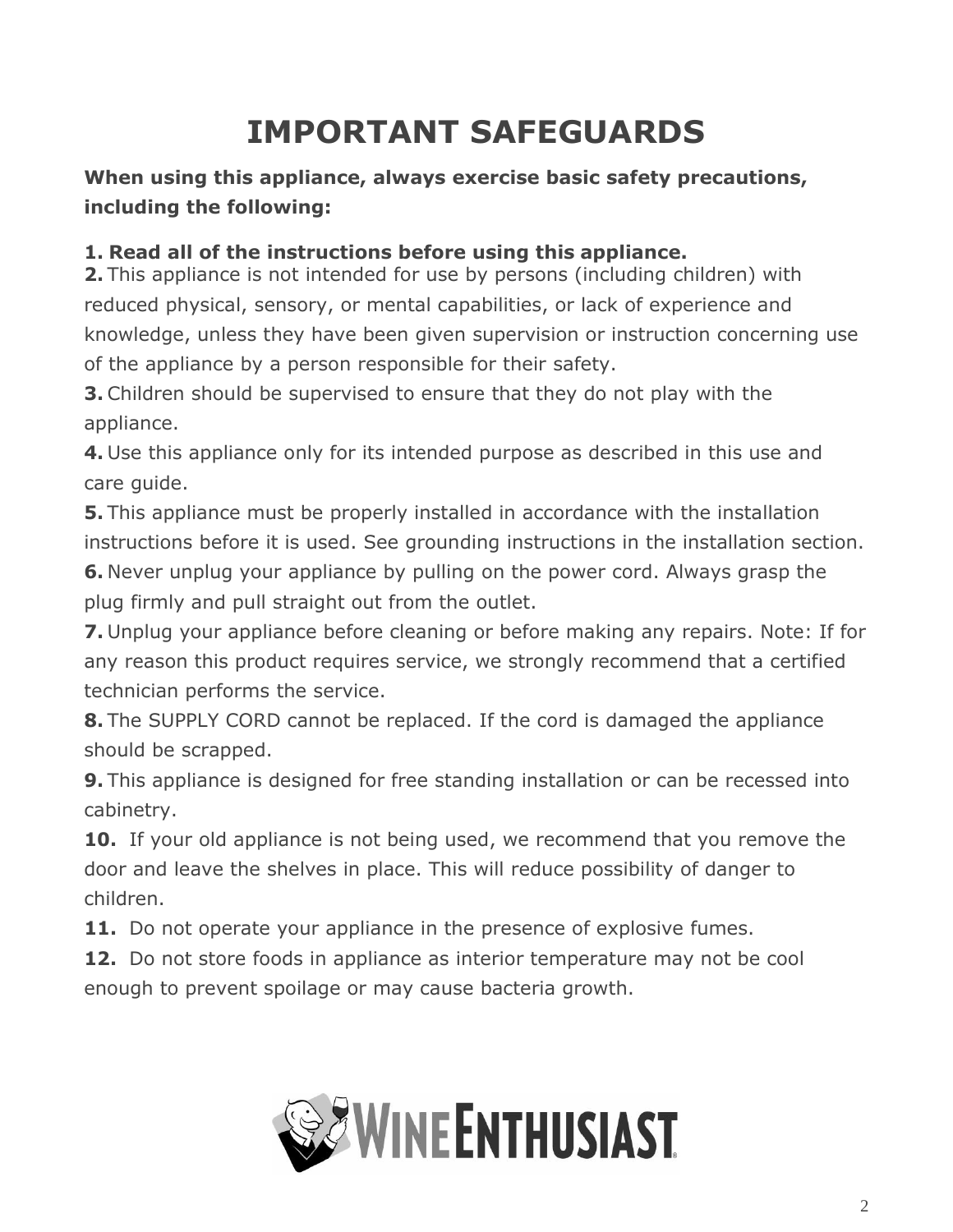## **IMPORTANT SAFEGUARDS**

### <span id="page-1-0"></span>**When using this appliance, always exercise basic safety precautions, including the following:**

#### **1. Read all of the instructions before using this appliance.**

**2.** This appliance is not intended for use by persons (including children) with reduced physical, sensory, or mental capabilities, or lack of experience and knowledge, unless they have been given supervision or instruction concerning use of the appliance by a person responsible for their safety.

**3.** Children should be supervised to ensure that they do not play with the appliance.

**4.** Use this appliance only for its intended purpose as described in this use and care guide.

**5.** This appliance must be properly installed in accordance with the installation instructions before it is used. See grounding instructions in the installation section.

**6.** Never unplug your appliance by pulling on the power cord. Always grasp the plug firmly and pull straight out from the outlet.

**7.** Unplug your appliance before cleaning or before making any repairs. Note: If for any reason this product requires service, we strongly recommend that a certified technician performs the service.

**8.** The SUPPLY CORD cannot be replaced. If the cord is damaged the appliance should be scrapped.

**9.** This appliance is designed for free standing installation or can be recessed into cabinetry.

**10.** If your old appliance is not being used, we recommend that you remove the door and leave the shelves in place. This will reduce possibility of danger to children.

**11.** Do not operate your appliance in the presence of explosive fumes.

**12.** Do not store foods in appliance as interior temperature may not be cool enough to prevent spoilage or may cause bacteria growth.

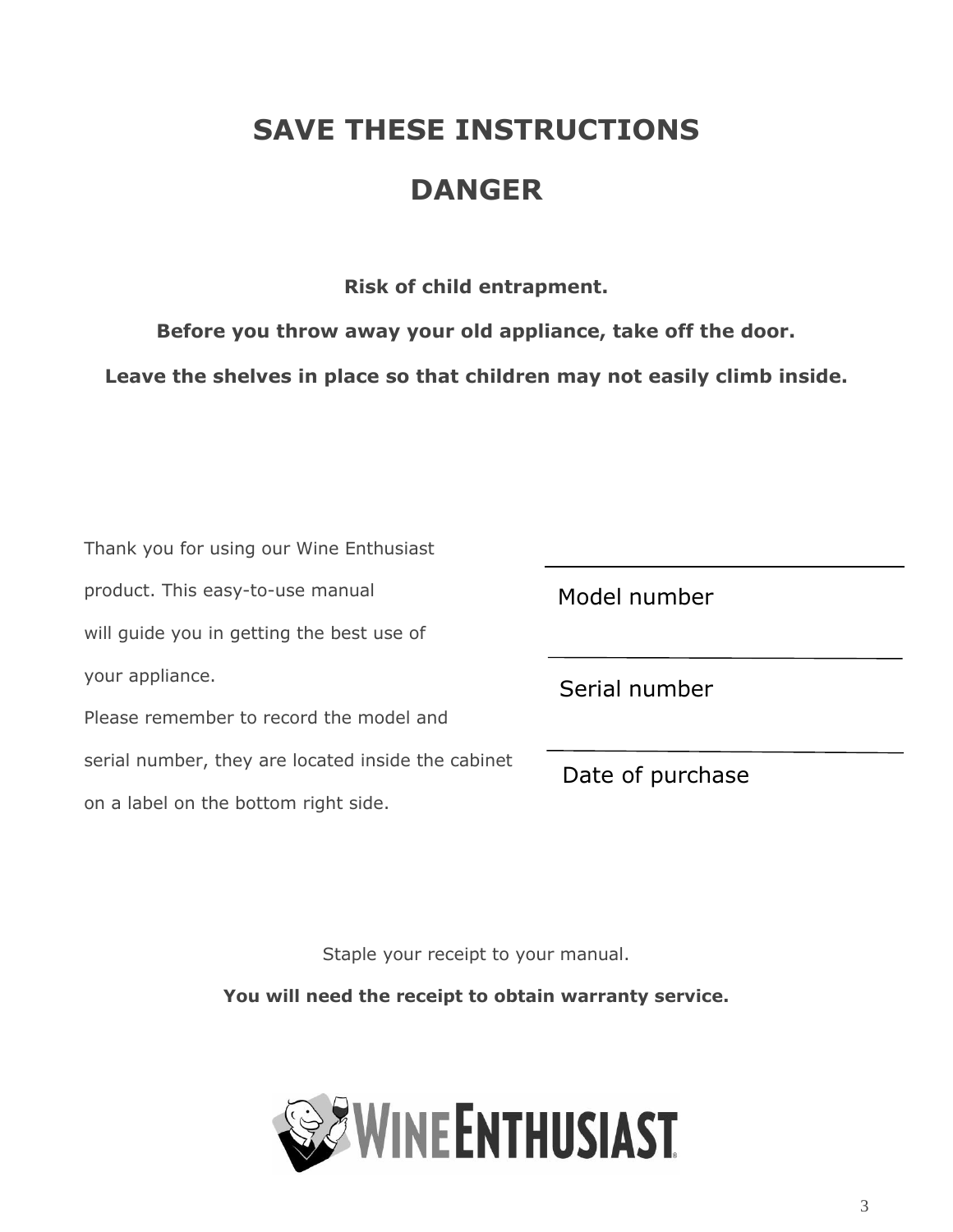## **SAVE THESE INSTRUCTIONS**

## **DANGER**

**Risk of child entrapment.**

**Before you throw away your old appliance, take off the door.**

**Leave the shelves in place so that children may not easily climb inside.**

| Thank you for using our Wine Enthusiast            |                  |  |
|----------------------------------------------------|------------------|--|
| product. This easy-to-use manual                   | Model number     |  |
| will guide you in getting the best use of          |                  |  |
| your appliance.                                    | Serial number    |  |
| Please remember to record the model and            |                  |  |
| serial number, they are located inside the cabinet | Date of purchase |  |
| on a label on the bottom right side.               |                  |  |

Staple your receipt to your manual.

**You will need the receipt to obtain warranty service.**

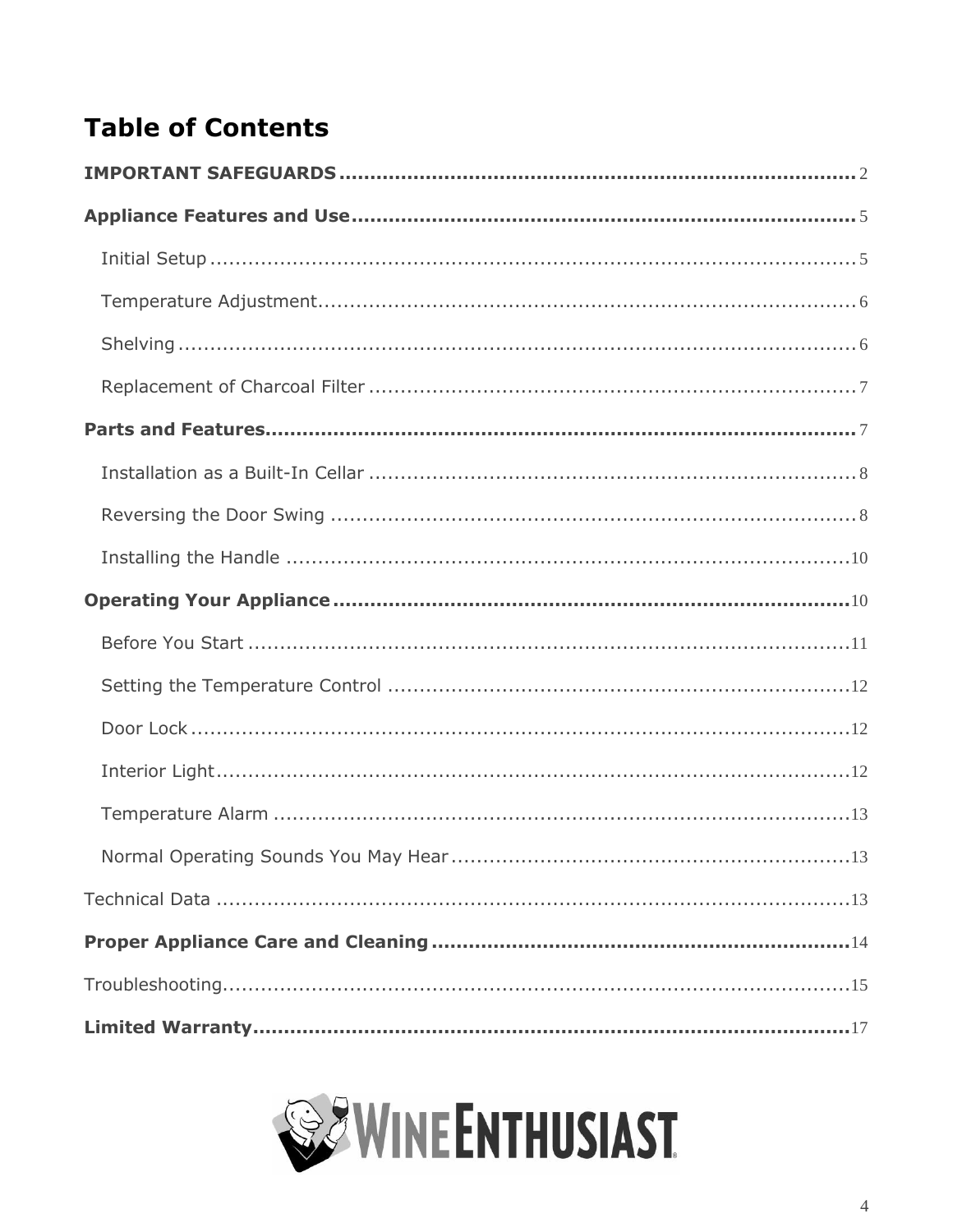## **Table of Contents**

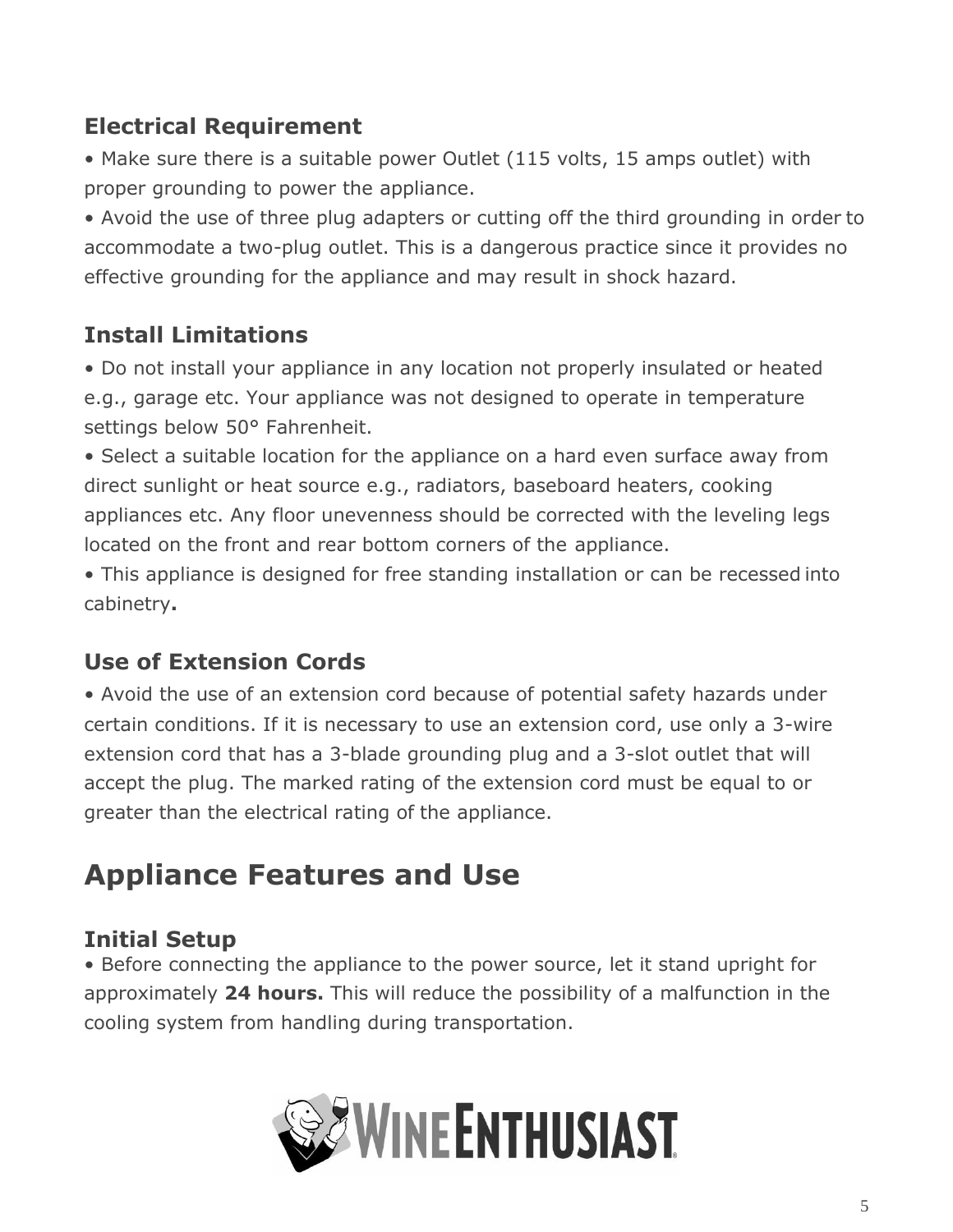## **Electrical Requirement**

• Make sure there is a suitable power Outlet (115 volts, 15 amps outlet) with proper grounding to power the appliance.

• Avoid the use of three plug adapters or cutting off the third grounding in order to accommodate a two-plug outlet. This is a dangerous practice since it provides no effective grounding for the appliance and may result in shock hazard.

## **Install Limitations**

• Do not install your appliance in any location not properly insulated or heated e.g., garage etc. Your appliance was not designed to operate in temperature settings below 50° Fahrenheit.

• Select a suitable location for the appliance on a hard even surface away from direct sunlight or heat source e.g., radiators, baseboard heaters, cooking appliances etc. Any floor unevenness should be corrected with the leveling legs located on the front and rear bottom corners of the appliance.

• This appliance is designed for free standing installation or can be recessed into cabinetry**.**

## **Use of Extension Cords**

• Avoid the use of an extension cord because of potential safety hazards under certain conditions. If it is necessary to use an extension cord, use only a 3-wire extension cord that has a 3-blade grounding plug and a 3-slot outlet that will accept the plug. The marked rating of the extension cord must be equal to or greater than the electrical rating of the appliance.

## <span id="page-4-0"></span>**Appliance Features and Use**

## <span id="page-4-1"></span>**Initial Setup**

• Before connecting the appliance to the power source, let it stand upright for approximately **24 hours.** This will reduce the possibility of a malfunction in the cooling system from handling during transportation.

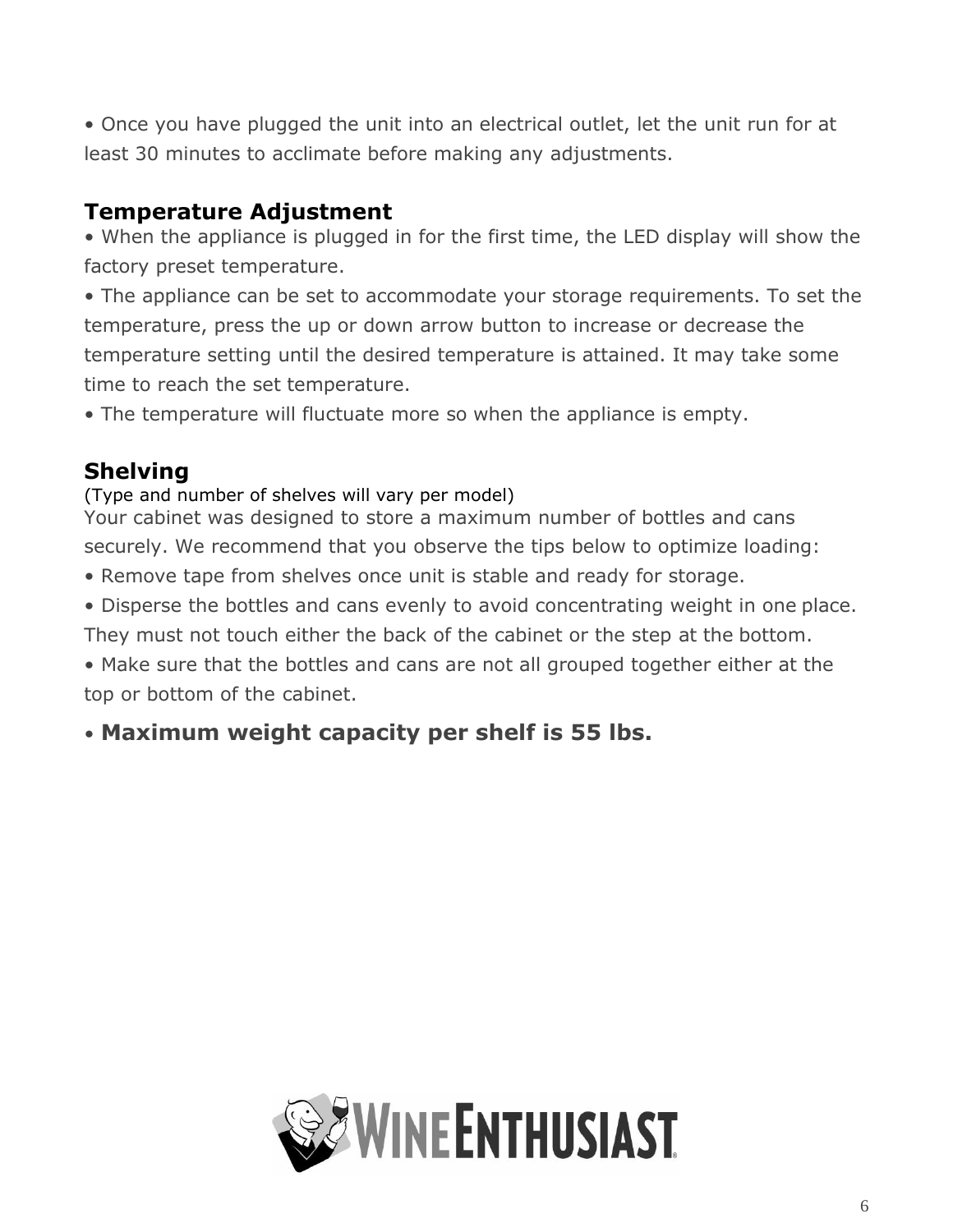<span id="page-5-2"></span>• Once you have plugged the unit into an electrical outlet, let the unit run for at least 30 minutes to acclimate before making any adjustments.

## <span id="page-5-0"></span>**Temperature Adjustment**

• When the appliance is plugged in for the first time, the LED display will show the factory preset temperature.

• The appliance can be set to accommodate your storage requirements. To set the temperature, press the up or down arrow button to increase or decrease the temperature setting until the desired temperature is attained. It may take some time to reach the set temperature.

• The temperature will fluctuate more so when the appliance is empty.

## <span id="page-5-1"></span>**Shelving**

#### (Type and number of shelves will vary per model)

Your cabinet was designed to store a maximum number of bottles and cans securely. We recommend that you observe the tips below to optimize loading:

- Remove tape from shelves once unit is stable and ready for storage.
- Disperse the bottles and cans evenly to avoid concentrating weight in one place. They must not touch either the back of the cabinet or the step at the bottom.

• Make sure that the bottles and cans are not all grouped together either at the top or bottom of the cabinet.

## • **Maximum weight capacity per shelf is 55 lbs.**

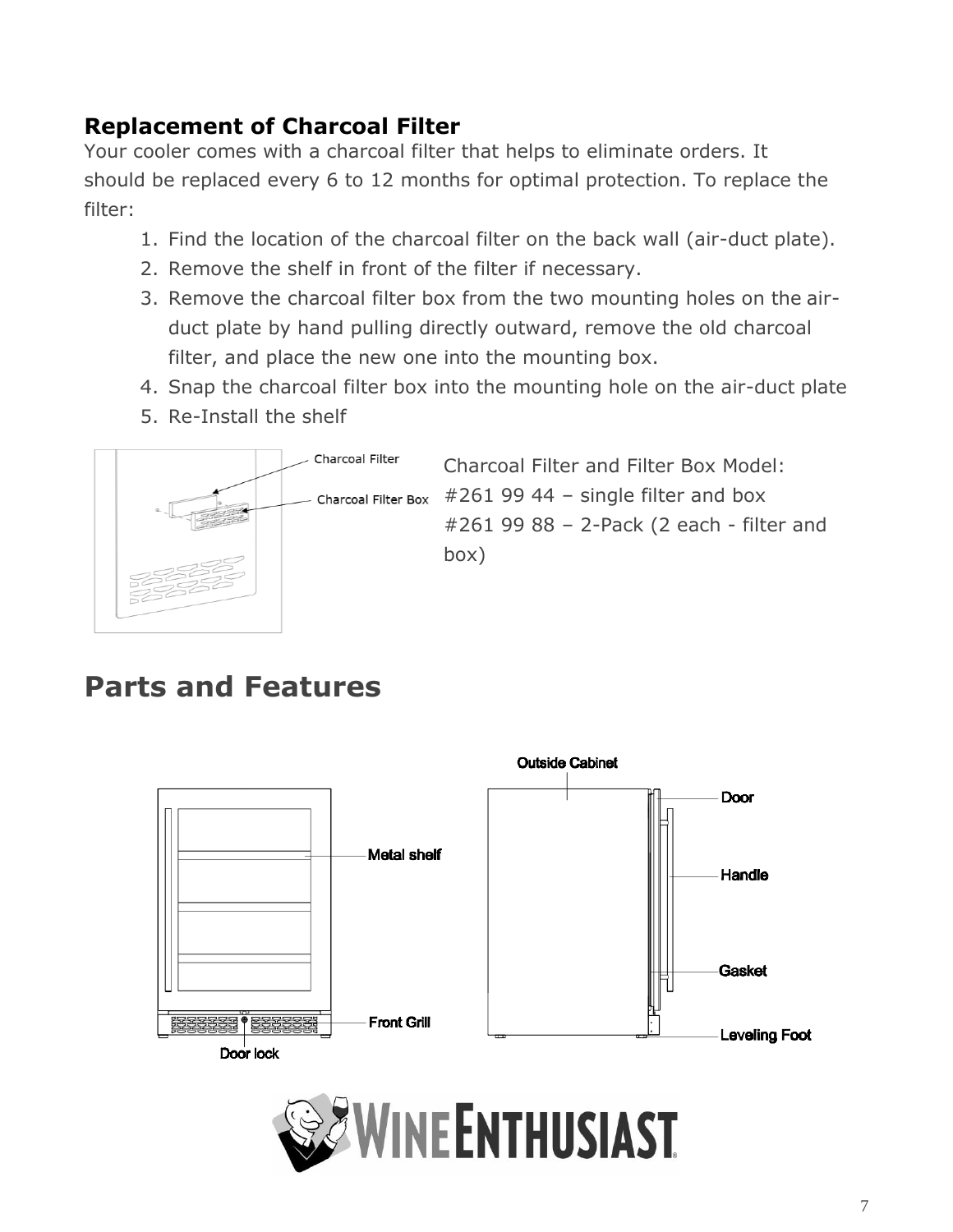## <span id="page-6-0"></span>**Replacement of Charcoal Filter**

Your cooler comes with a charcoal filter that helps to eliminate orders. It should be replaced every 6 to 12 months for optimal protection. To replace the filter:

- 1. Find the location of the charcoal filter on the back wall (air-duct plate).
- 2. Remove the shelf in front of the filter if necessary.
- 3. Remove the charcoal filter box from the two mounting holes on the airduct plate by hand pulling directly outward, remove the old charcoal filter, and place the new one into the mounting box.
- 4. Snap the charcoal filter box into the mounting hole on the air-duct plate
- 5. Re-Install the shelf



Charcoal Filter and Filter Box Model: Charcoal Filter Box  $#2619944 -$  single filter and box #261 99 88 – 2-Pack (2 each - filter and box)

## **Parts and Features**



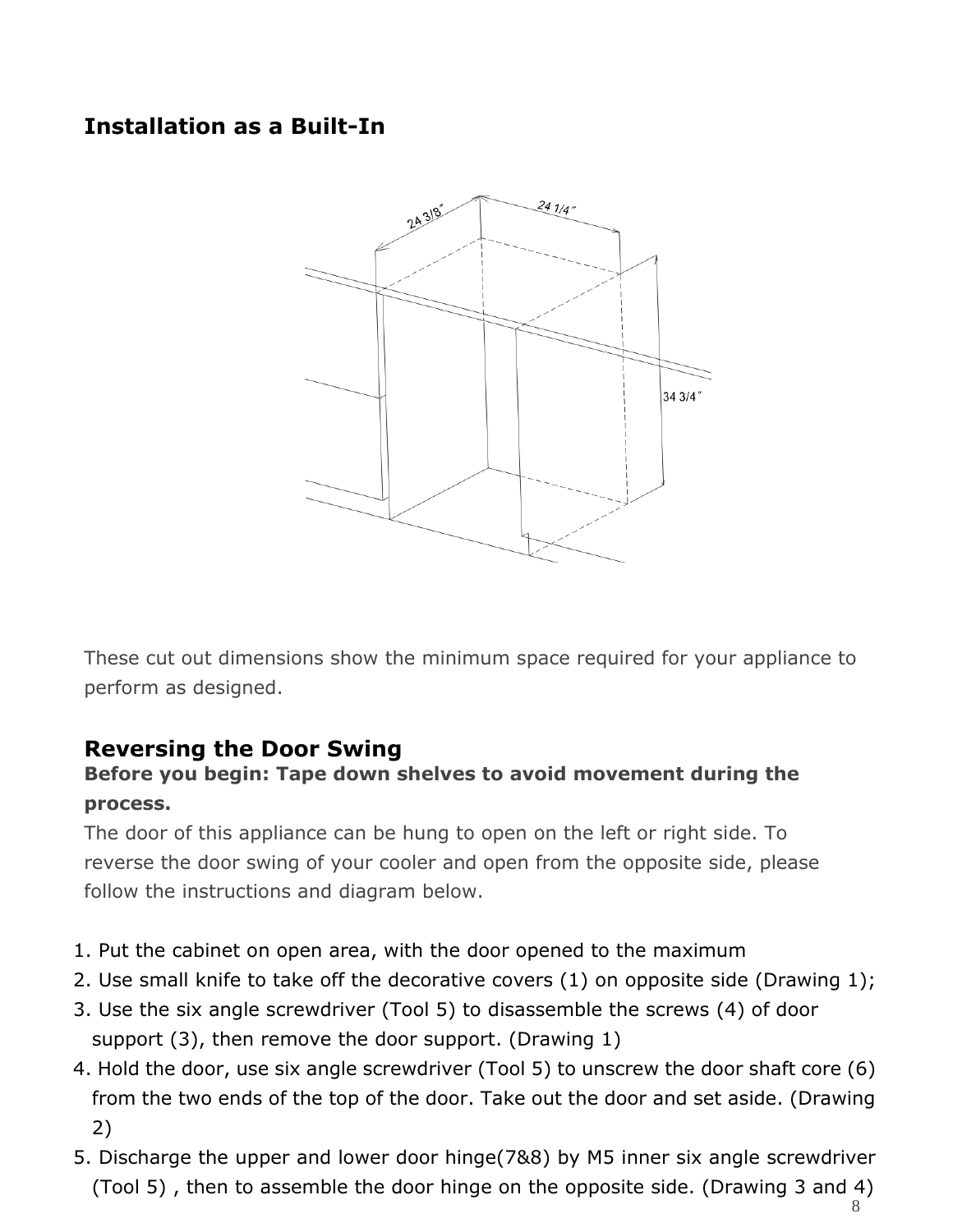## <span id="page-7-0"></span>**Installation as a Built-In**



These cut out dimensions show the minimum space required for your appliance to perform as designed.

#### <span id="page-7-1"></span>**Reversing the Door Swing**

#### **Before you begin: Tape down shelves to avoid movement during the process.**

The door of this appliance can be hung to open on the left or right side. To reverse the door swing of your cooler and open from the opposite side, please follow the instructions and diagram below.

- 1. Put the cabinet on open area, with the door opened to the maximum
- 2. Use small knife to take off the decorative covers (1) on opposite side (Drawing 1);
- 3. Use the six angle screwdriver (Tool 5) to disassemble the screws (4) of door support (3), then remove the door support. (Drawing 1)
- 4. Hold the door, use six angle screwdriver (Tool 5) to unscrew the door shaft core (6) from the two ends of the top of the door. Take out the door and set aside. (Drawing 2)
- 5. Discharge the upper and lower door hinge(7&8) by M5 inner six angle screwdriver (Tool 5) , then to assemble the door hinge on the opposite side. (Drawing 3 and 4)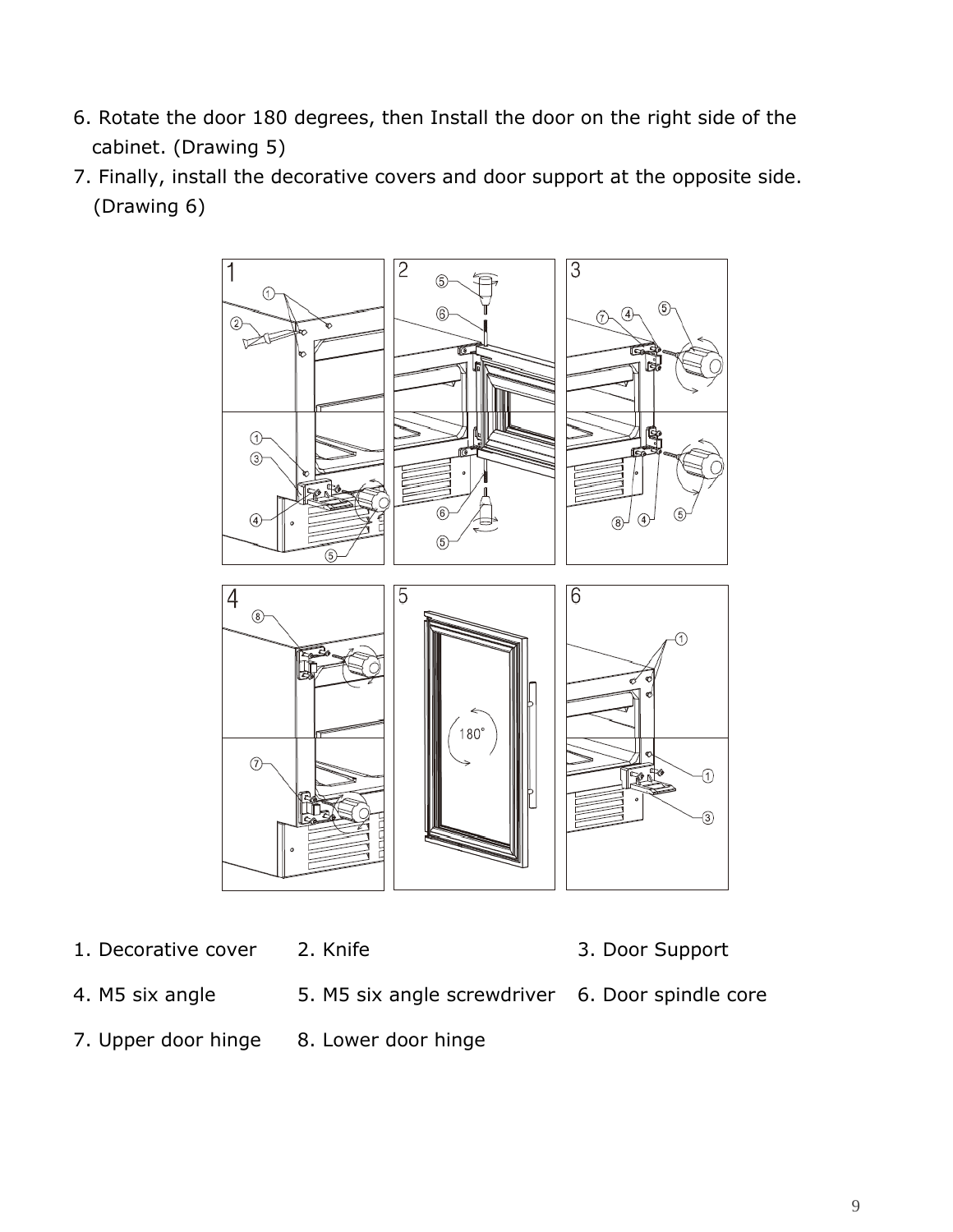- 6. Rotate the door 180 degrees, then Install the door on the right side of the cabinet. (Drawing 5)
- 7. Finally, install the decorative covers and door support at the opposite side. (Drawing 6)



- 1. Decorative cover 2. Knife 3. Door Support
	-
- 4. M5 six angle 5. M5 six angle screwdriver 6. Door spindle core
- 
- 
- 
- 7. Upper door hinge 8. Lower door hinge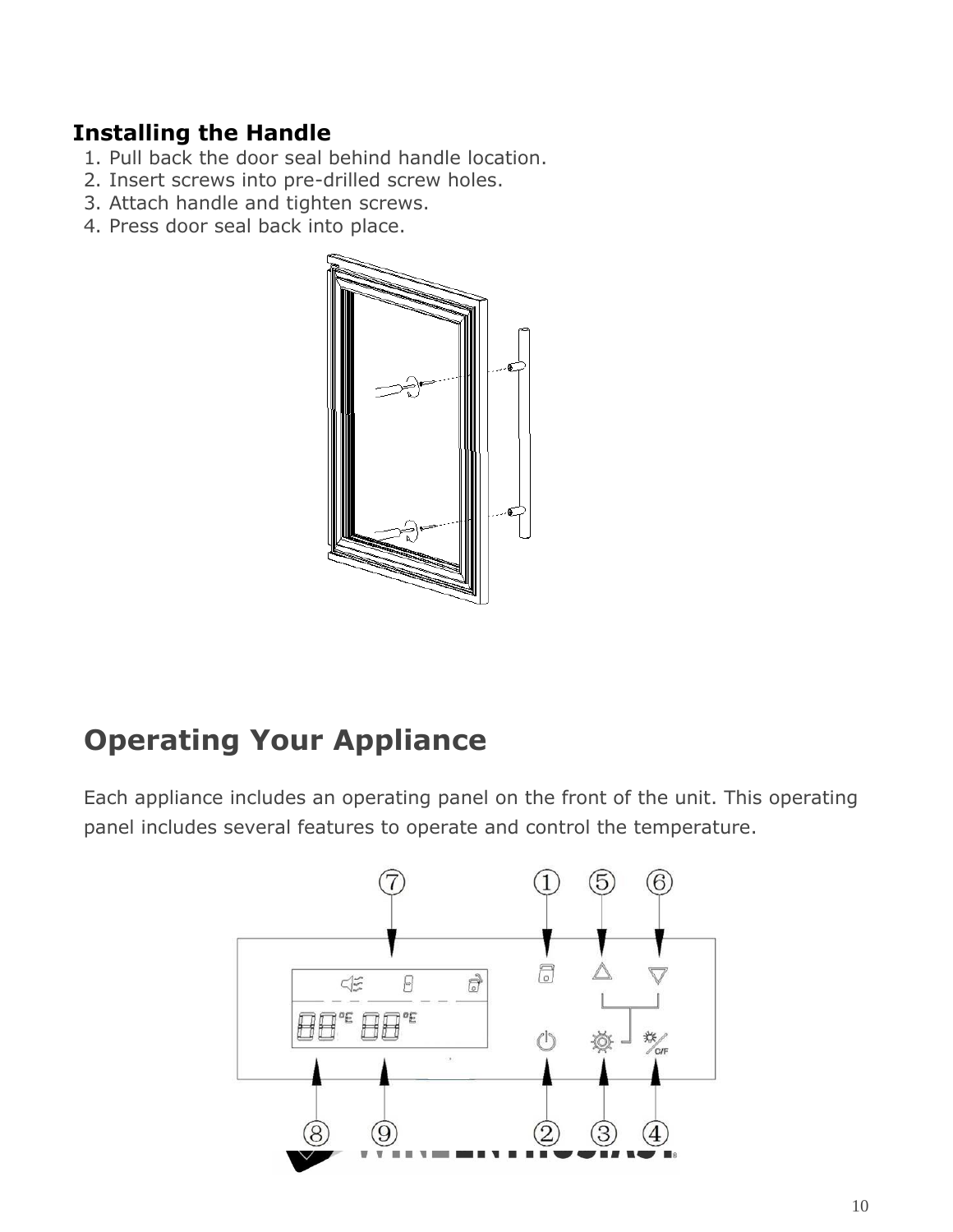### <span id="page-9-0"></span>**Installing the Handle**

- 1. Pull back the door seal behind handle location.
- 2. Insert screws into pre-drilled screw holes.
- 3. Attach handle and tighten screws.
- 4. Press door seal back into place.



## <span id="page-9-1"></span>**Operating Your Appliance**

Each appliance includes an operating panel on the front of the unit. This operating panel includes several features to operate and control the temperature.

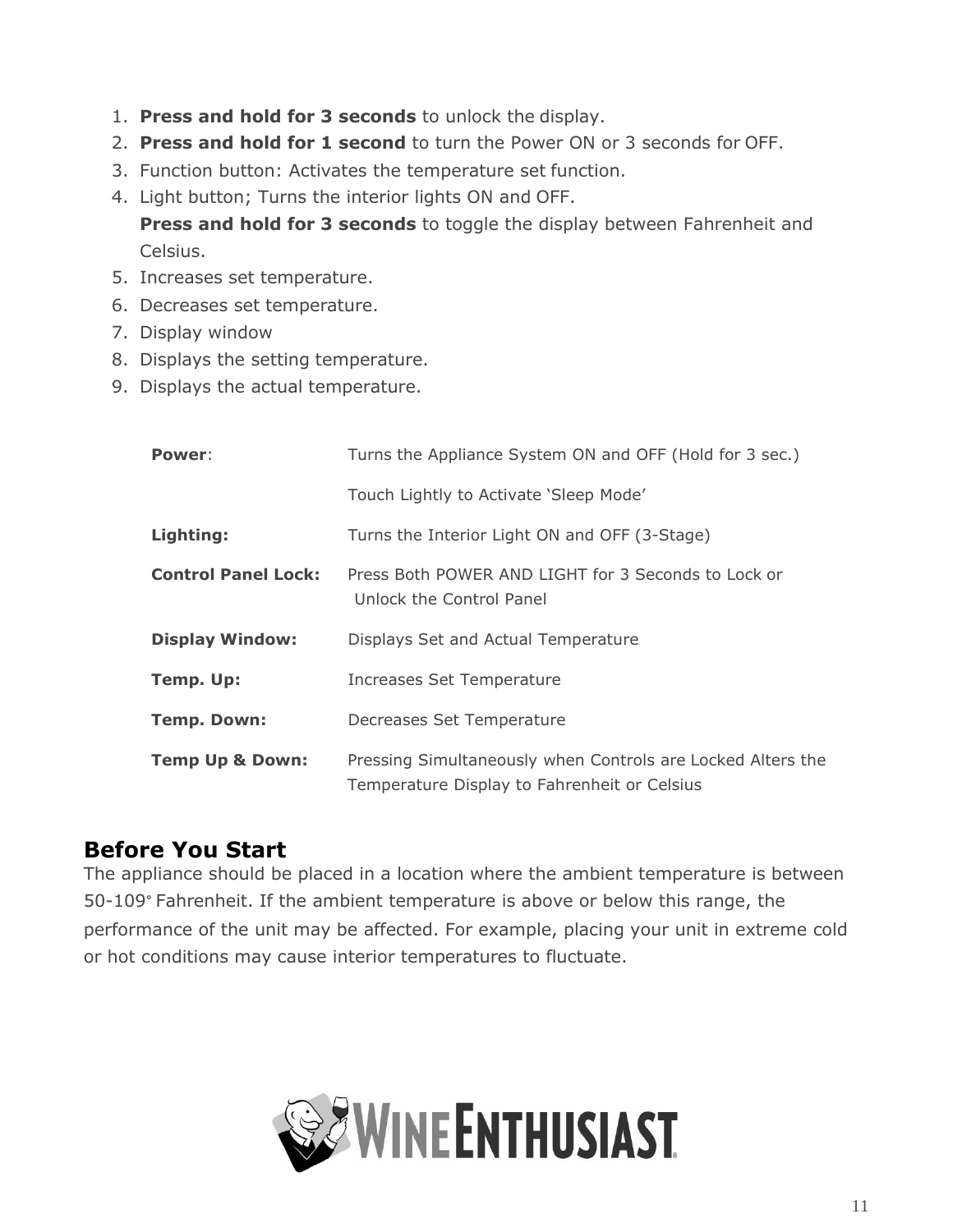- 1. **Press and hold for 3 seconds** to unlock the display.
- 2. **Press and hold for 1 second** to turn the Power ON or 3 seconds for OFF.
- 3. Function button: Activates the temperature set function.
- 4. Light button; Turns the interior lights ON and OFF.

**Press and hold for 3 seconds** to toggle the display between Fahrenheit and Celsius.

- 5. Increases set temperature.
- 6. Decreases set temperature.
- 7. Display window
- 8. Displays the setting temperature.
- 9. Displays the actual temperature.

| Power:                     | Turns the Appliance System ON and OFF (Hold for 3 sec.)                                                     |
|----------------------------|-------------------------------------------------------------------------------------------------------------|
|                            | Touch Lightly to Activate 'Sleep Mode'                                                                      |
| Lighting:                  | Turns the Interior Light ON and OFF (3-Stage)                                                               |
| <b>Control Panel Lock:</b> | Press Both POWER AND LIGHT for 3 Seconds to Lock or<br>Unlock the Control Panel                             |
| <b>Display Window:</b>     | Displays Set and Actual Temperature                                                                         |
| Temp. Up:                  | Increases Set Temperature                                                                                   |
| <b>Temp. Down:</b>         | Decreases Set Temperature                                                                                   |
| <b>Temp Up &amp; Down:</b> | Pressing Simultaneously when Controls are Locked Alters the<br>Temperature Display to Fahrenheit or Celsius |

### <span id="page-10-0"></span>**Before You Start**

<span id="page-10-1"></span>The appliance should be placed in a location where the ambient temperature is between 50-109° Fahrenheit. If the ambient temperature is above or below this range, the performance of the unit may be affected. For example, placing your unit in extreme cold or hot conditions may cause interior temperatures to fluctuate.

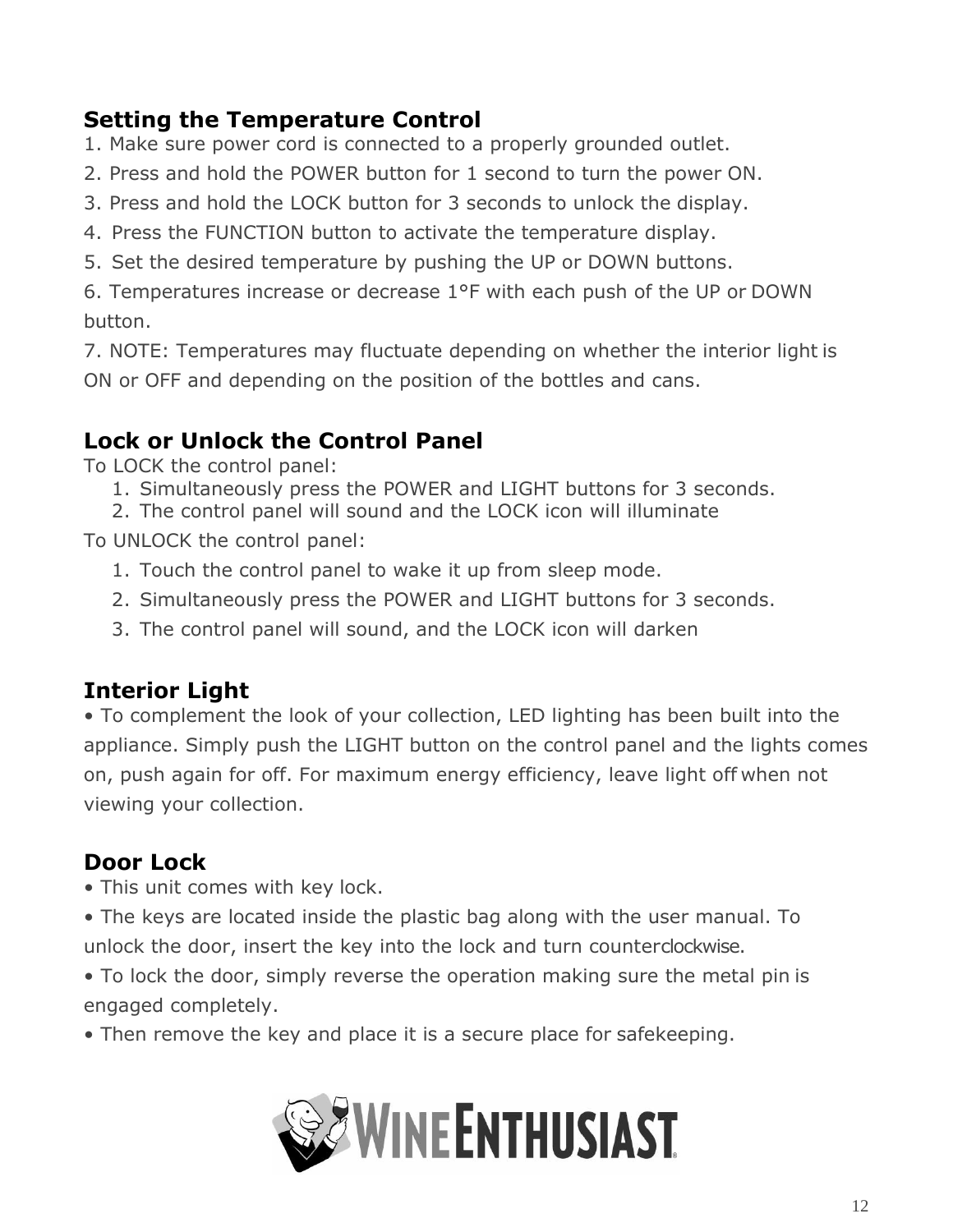## **Setting the Temperature Control**

- 1. Make sure power cord is connected to a properly grounded outlet.
- 2. Press and hold the POWER button for 1 second to turn the power ON.
- 3. Press and hold the LOCK button for 3 seconds to unlock the display.
- 4. Press the FUNCTION button to activate the temperature display.
- 5. Set the desired temperature by pushing the UP or DOWN buttons.

6. Temperatures increase or decrease 1°F with each push of the UP or DOWN button.

7. NOTE: Temperatures may fluctuate depending on whether the interior light is ON or OFF and depending on the position of the bottles and cans.

## <span id="page-11-2"></span>**Lock or Unlock the Control Panel**

To LOCK the control panel:

- 1. Simultaneously press the POWER and LIGHT buttons for 3 seconds.
- 2. The control panel will sound and the LOCK icon will illuminate

To UNLOCK the control panel:

- 1. Touch the control panel to wake it up from sleep mode.
- 2. Simultaneously press the POWER and LIGHT buttons for 3 seconds.
- 3. The control panel will sound, and the LOCK icon will darken

## <span id="page-11-0"></span>**Interior Light**

• To complement the look of your collection, LED lighting has been built into the appliance. Simply push the LIGHT button on the control panel and the lights comes on, push again for off. For maximum energy efficiency, leave light off when not viewing your collection.

## <span id="page-11-1"></span>**Door Lock**

- This unit comes with key lock.
- The keys are located inside the plastic bag along with the user manual. To unlock the door, insert the key into the lock and turn counterclockwise.
- To lock the door, simply reverse the operation making sure the metal pin is engaged completely.
- Then remove the key and place it is a secure place for safekeeping.

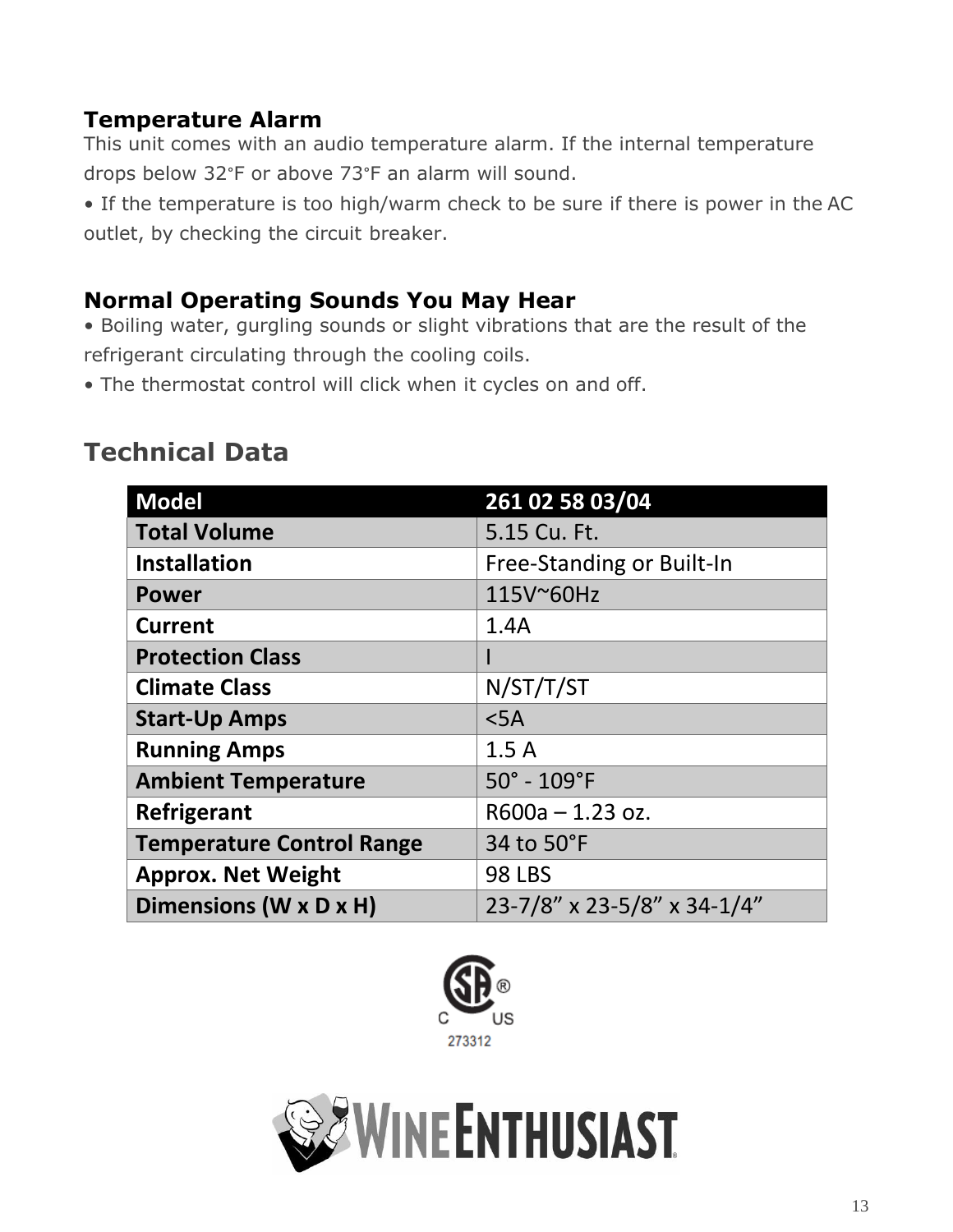### <span id="page-12-0"></span>**Temperature Alarm**

This unit comes with an audio temperature alarm. If the internal temperature drops below 32°F or above 73°F an alarm will sound.

• If the temperature is too high/warm check to be sure if there is power in the AC outlet, by checking the circuit breaker.

#### **Normal Operating Sounds You May Hear**

- Boiling water, gurgling sounds or slight vibrations that are the result of the refrigerant circulating through the cooling coils.
- The thermostat control will click when it cycles on and off.

## <span id="page-12-1"></span>**Technical Data**

| <b>Model</b>                     | 261 02 58 03/04             |
|----------------------------------|-----------------------------|
| <b>Total Volume</b>              | 5.15 Cu. Ft.                |
| <b>Installation</b>              | Free-Standing or Built-In   |
| <b>Power</b>                     | 115V~60Hz                   |
| <b>Current</b>                   | 1.4A                        |
| <b>Protection Class</b>          |                             |
| <b>Climate Class</b>             | N/ST/T/ST                   |
| <b>Start-Up Amps</b>             | $<$ 5A                      |
| <b>Running Amps</b>              | 1.5A                        |
| <b>Ambient Temperature</b>       | $50^\circ$ - $109^\circ$ F  |
| Refrigerant                      | $R600a - 1.23 oz.$          |
| <b>Temperature Control Range</b> | 34 to 50°F                  |
| <b>Approx. Net Weight</b>        | <b>98 LBS</b>               |
| Dimensions (W x D x H)           | 23-7/8" x 23-5/8" x 34-1/4" |



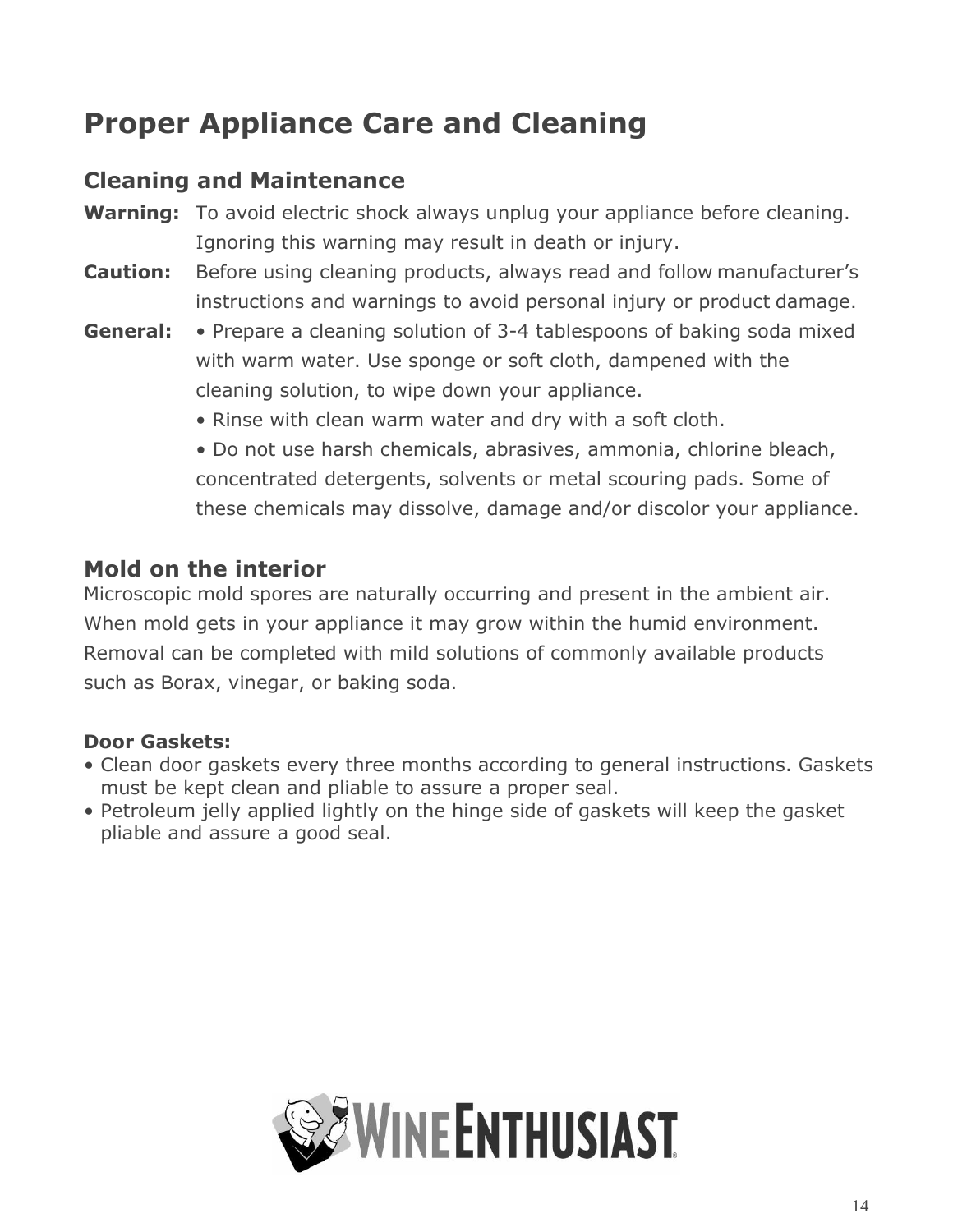## <span id="page-13-0"></span>**Proper Appliance Care and Cleaning**

### **Cleaning and Maintenance**

- **Warning:** To avoid electric shock always unplug your appliance before cleaning. Ignoring this warning may result in death or injury.
- **Caution:** Before using cleaning products, always read and follow manufacturer's instructions and warnings to avoid personal injury or product damage.
- **General:** Prepare a cleaning solution of 3-4 tablespoons of baking soda mixed with warm water. Use sponge or soft cloth, dampened with the cleaning solution, to wipe down your appliance.
	- Rinse with clean warm water and dry with a soft cloth.
	- Do not use harsh chemicals, abrasives, ammonia, chlorine bleach, concentrated detergents, solvents or metal scouring pads. Some of these chemicals may dissolve, damage and/or discolor your appliance.

### **Mold on the interior**

Microscopic mold spores are naturally occurring and present in the ambient air. When mold gets in your appliance it may grow within the humid environment. Removal can be completed with mild solutions of commonly available products such as Borax, vinegar, or baking soda.

#### **Door Gaskets:**

- Clean door gaskets every three months according to general instructions. Gaskets must be kept clean and pliable to assure a proper seal.
- Petroleum jelly applied lightly on the hinge side of gaskets will keep the gasket pliable and assure a good seal.

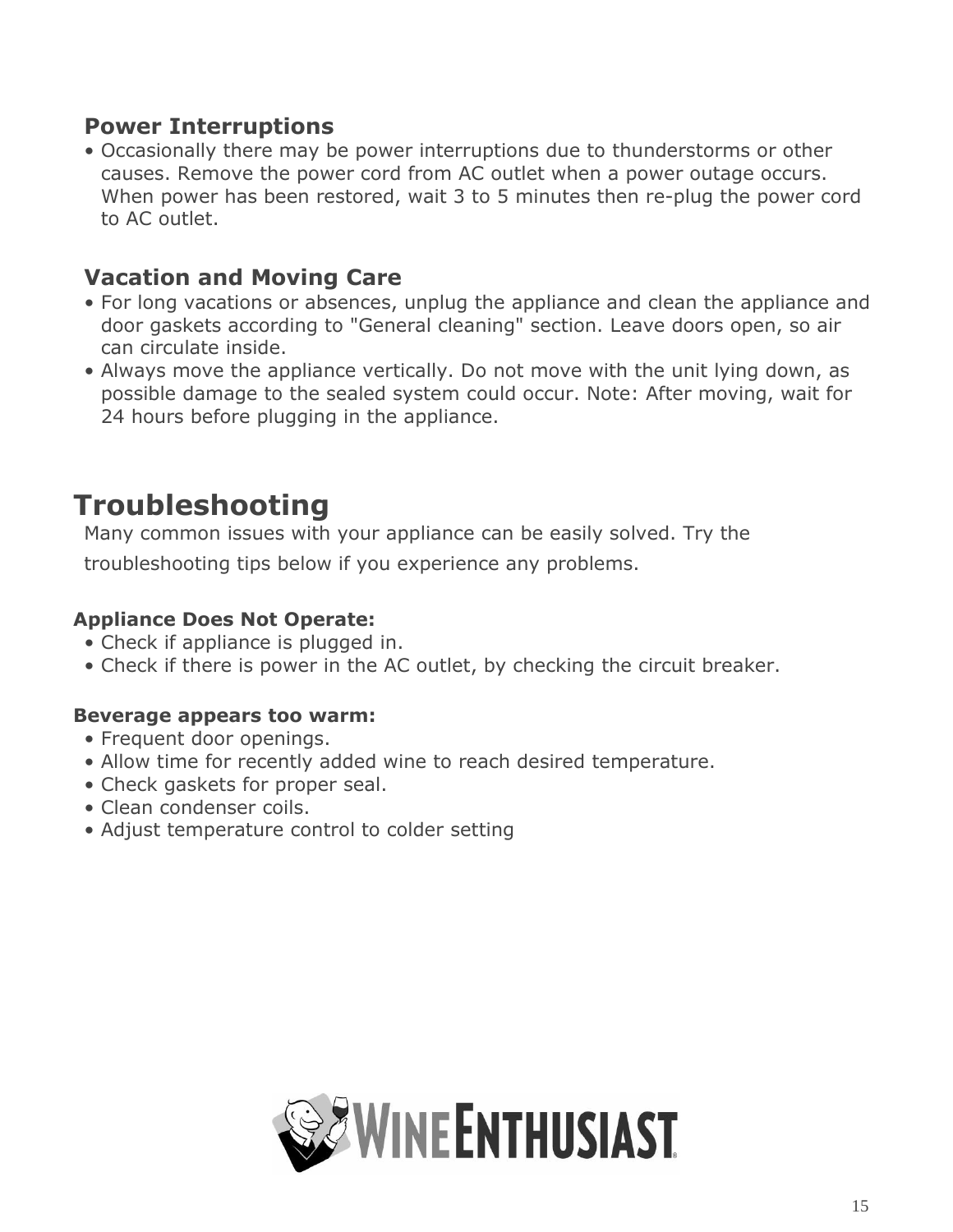#### **Power Interruptions**

• Occasionally there may be power interruptions due to thunderstorms or other causes. Remove the power cord from AC outlet when a power outage occurs. When power has been restored, wait 3 to 5 minutes then re-plug the power cord to AC outlet.

#### **Vacation and Moving Care**

- For long vacations or absences, unplug the appliance and clean the appliance and door gaskets according to "General cleaning" section. Leave doors open, so air can circulate inside.
- Always move the appliance vertically. Do not move with the unit lying down, as possible damage to the sealed system could occur. Note: After moving, wait for 24 hours before plugging in the appliance.

## <span id="page-14-0"></span>**Troubleshooting**

Many common issues with your appliance can be easily solved. Try the troubleshooting tips below if you experience any problems.

#### **Appliance Does Not Operate:**

- Check if appliance is plugged in.
- Check if there is power in the AC outlet, by checking the circuit breaker.

#### **Beverage appears too warm:**

- Frequent door openings.
- Allow time for recently added wine to reach desired temperature.
- Check gaskets for proper seal.
- Clean condenser coils.
- Adjust temperature control to colder setting

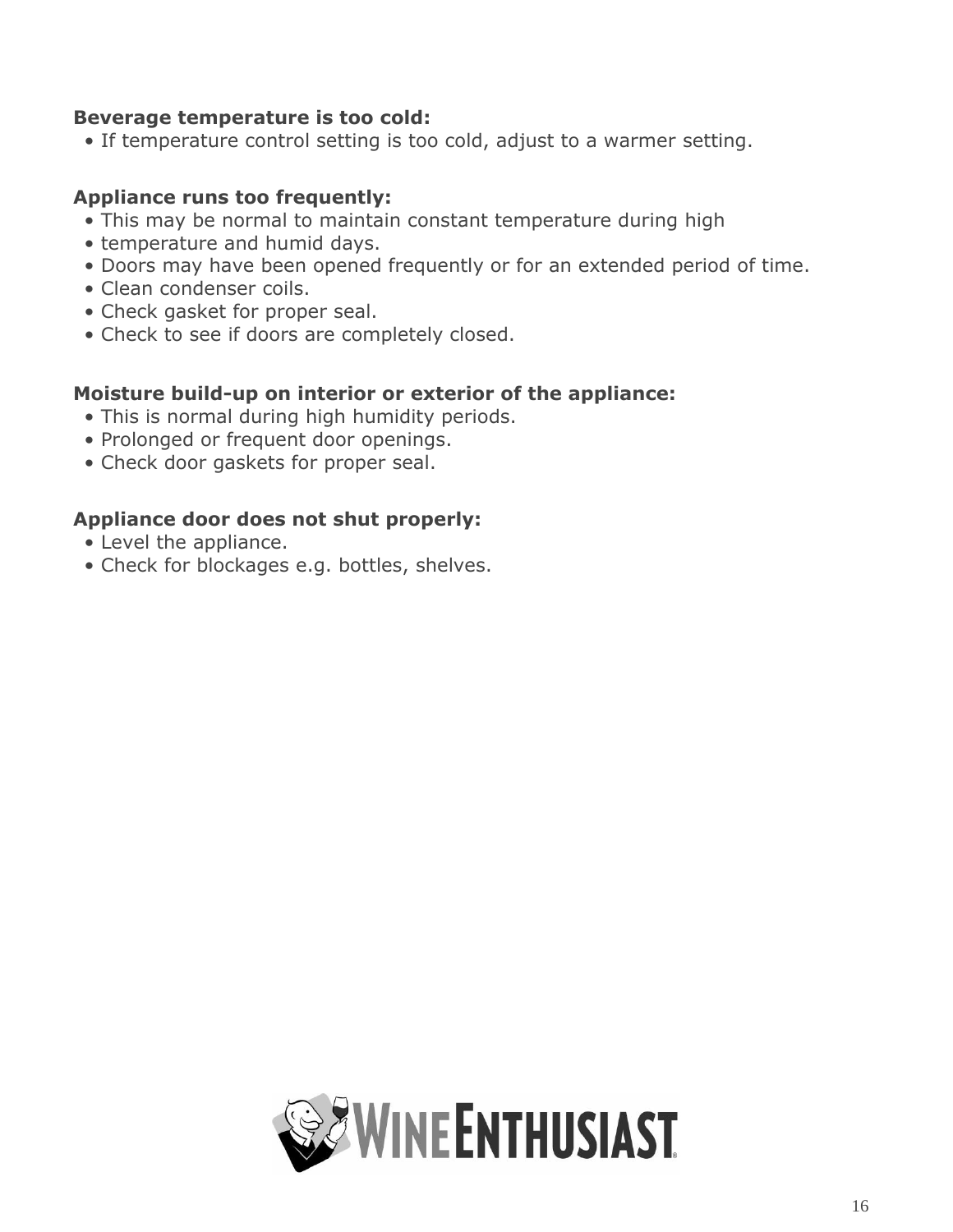#### **Beverage temperature is too cold:**

• If temperature control setting is too cold, adjust to a warmer setting.

#### **Appliance runs too frequently:**

- This may be normal to maintain constant temperature during high
- temperature and humid days.
- Doors may have been opened frequently or for an extended period of time.
- Clean condenser coils.
- Check gasket for proper seal.
- Check to see if doors are completely closed.

#### **Moisture build-up on interior or exterior of the appliance:**

- This is normal during high humidity periods.
- Prolonged or frequent door openings.
- Check door gaskets for proper seal.

#### **Appliance door does not shut properly:**

- Level the appliance.
- Check for blockages e.g. bottles, shelves.

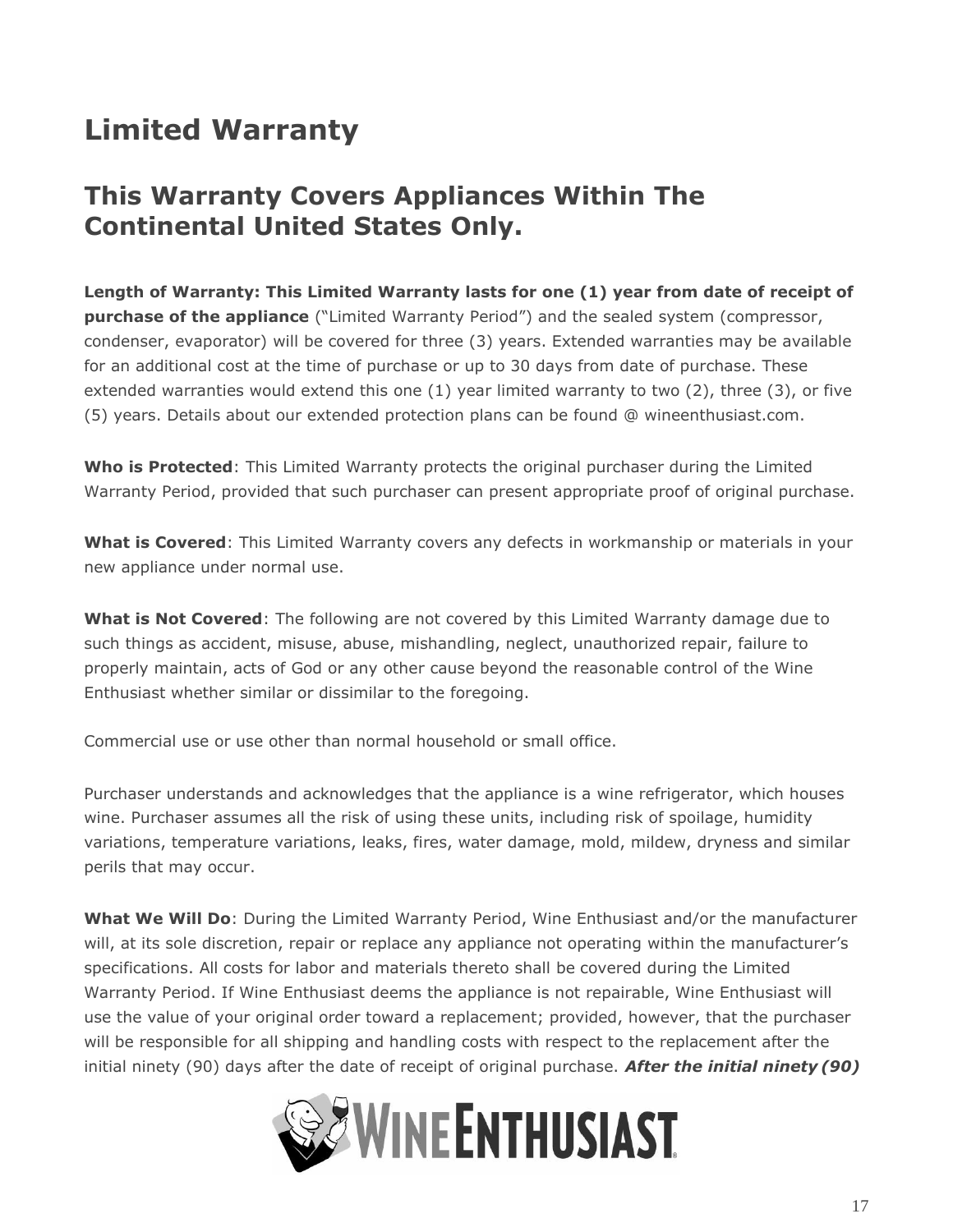## <span id="page-16-0"></span>**Limited Warranty**

## **This Warranty Covers Appliances Within The Continental United States Only.**

**Length of Warranty: This Limited Warranty lasts for one (1) year from date of receipt of purchase of the appliance** ("Limited Warranty Period") and the sealed system (compressor, condenser, evaporator) will be covered for three (3) years. Extended warranties may be available for an additional cost at the time of purchase or up to 30 days from date of purchase. These extended warranties would extend this one (1) year limited warranty to two (2), three (3), or five (5) years. Details about our extended protection plans can be found @ wineenthusiast.com.

**Who is Protected**: This Limited Warranty protects the original purchaser during the Limited Warranty Period, provided that such purchaser can present appropriate proof of original purchase.

**What is Covered**: This Limited Warranty covers any defects in workmanship or materials in your new appliance under normal use.

**What is Not Covered**: The following are not covered by this Limited Warranty damage due to such things as accident, misuse, abuse, mishandling, neglect, unauthorized repair, failure to properly maintain, acts of God or any other cause beyond the reasonable control of the Wine Enthusiast whether similar or dissimilar to the foregoing.

Commercial use or use other than normal household or small office.

Purchaser understands and acknowledges that the appliance is a wine refrigerator, which houses wine. Purchaser assumes all the risk of using these units, including risk of spoilage, humidity variations, temperature variations, leaks, fires, water damage, mold, mildew, dryness and similar perils that may occur.

**What We Will Do**: During the Limited Warranty Period, Wine Enthusiast and/or the manufacturer will, at its sole discretion, repair or replace any appliance not operating within the manufacturer's specifications. All costs for labor and materials thereto shall be covered during the Limited Warranty Period. If Wine Enthusiast deems the appliance is not repairable, Wine Enthusiast will use the value of your original order toward a replacement; provided, however, that the purchaser will be responsible for all shipping and handling costs with respect to the replacement after the initial ninety (90) days after the date of receipt of original purchase. *After the initial ninety (90)*